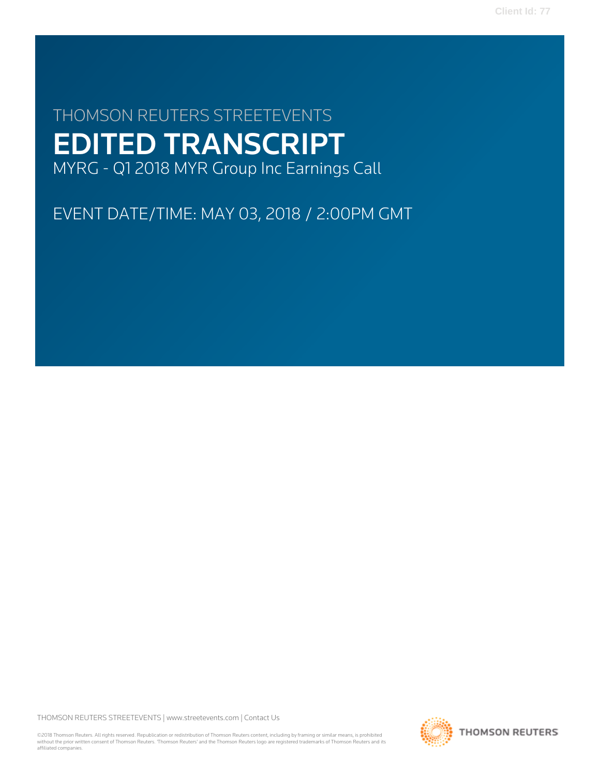# THOMSON REUTERS STREETEVENTS EDITED TRANSCRIPT MYRG - Q1 2018 MYR Group Inc Earnings Call

EVENT DATE/TIME: MAY 03, 2018 / 2:00PM GMT

THOMSON REUTERS STREETEVENTS | [www.streetevents.com](http://www.streetevents.com) | [Contact Us](http://www010.streetevents.com/contact.asp)

©2018 Thomson Reuters. All rights reserved. Republication or redistribution of Thomson Reuters content, including by framing or similar means, is prohibited without the prior written consent of Thomson Reuters. 'Thomson Reuters' and the Thomson Reuters logo are registered trademarks of Thomson Reuters and its affiliated companies.

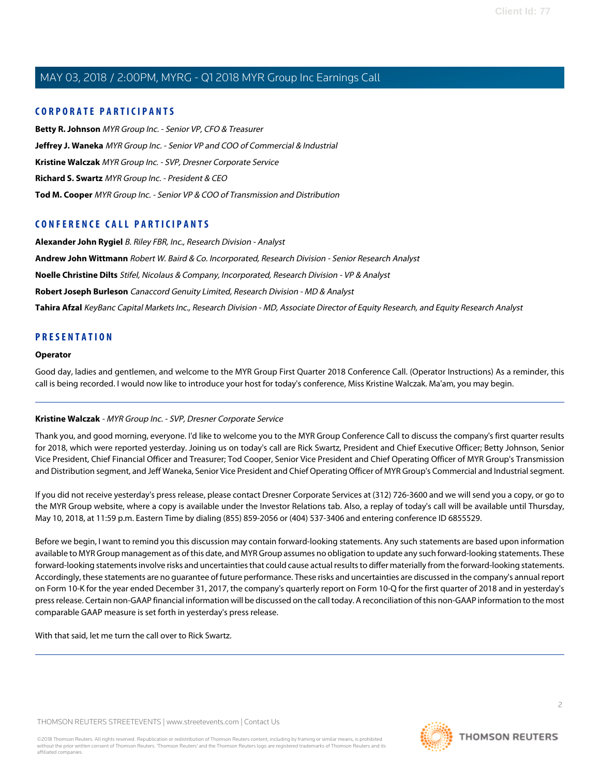### **CORPORATE PARTICIPANTS**

**[Betty R. Johnson](#page-2-0)** MYR Group Inc. - Senior VP, CFO & Treasurer **[Jeffrey J. Waneka](#page-4-0)** MYR Group Inc. - Senior VP and COO of Commercial & Industrial **[Kristine Walczak](#page-1-0)** MYR Group Inc. - SVP, Dresner Corporate Service **[Richard S. Swartz](#page-2-1)** MYR Group Inc. - President & CEO **[Tod M. Cooper](#page-3-0)** MYR Group Inc. - Senior VP & COO of Transmission and Distribution

### **CONFERENCE CALL PARTICIPANTS**

**[Alexander John Rygiel](#page-7-0)** B. Riley FBR, Inc., Research Division - Analyst **[Andrew John Wittmann](#page-7-1)** Robert W. Baird & Co. Incorporated, Research Division - Senior Research Analyst **[Noelle Christine Dilts](#page-11-0)** Stifel, Nicolaus & Company, Incorporated, Research Division - VP & Analyst **[Robert Joseph Burleson](#page-9-0)** Canaccord Genuity Limited, Research Division - MD & Analyst **[Tahira Afzal](#page-5-0)** KeyBanc Capital Markets Inc., Research Division - MD, Associate Director of Equity Research, and Equity Research Analyst

### **PRESENTATION**

#### **Operator**

<span id="page-1-0"></span>Good day, ladies and gentlemen, and welcome to the MYR Group First Quarter 2018 Conference Call. (Operator Instructions) As a reminder, this call is being recorded. I would now like to introduce your host for today's conference, Miss Kristine Walczak. Ma'am, you may begin.

#### **Kristine Walczak** - MYR Group Inc. - SVP, Dresner Corporate Service

Thank you, and good morning, everyone. I'd like to welcome you to the MYR Group Conference Call to discuss the company's first quarter results for 2018, which were reported yesterday. Joining us on today's call are Rick Swartz, President and Chief Executive Officer; Betty Johnson, Senior Vice President, Chief Financial Officer and Treasurer; Tod Cooper, Senior Vice President and Chief Operating Officer of MYR Group's Transmission and Distribution segment, and Jeff Waneka, Senior Vice President and Chief Operating Officer of MYR Group's Commercial and Industrial segment.

If you did not receive yesterday's press release, please contact Dresner Corporate Services at (312) 726-3600 and we will send you a copy, or go to the MYR Group website, where a copy is available under the Investor Relations tab. Also, a replay of today's call will be available until Thursday, May 10, 2018, at 11:59 p.m. Eastern Time by dialing (855) 859-2056 or (404) 537-3406 and entering conference ID 6855529.

Before we begin, I want to remind you this discussion may contain forward-looking statements. Any such statements are based upon information available to MYR Group management as of this date, and MYR Group assumes no obligation to update any such forward-looking statements. These forward-looking statements involve risks and uncertainties that could cause actual results to differ materially from the forward-looking statements. Accordingly, these statements are no guarantee of future performance. These risks and uncertainties are discussed in the company's annual report on Form 10-K for the year ended December 31, 2017, the company's quarterly report on Form 10-Q for the first quarter of 2018 and in yesterday's press release. Certain non-GAAP financial information will be discussed on the call today. A reconciliation of this non-GAAP information to the most comparable GAAP measure is set forth in yesterday's press release.

With that said, let me turn the call over to Rick Swartz.

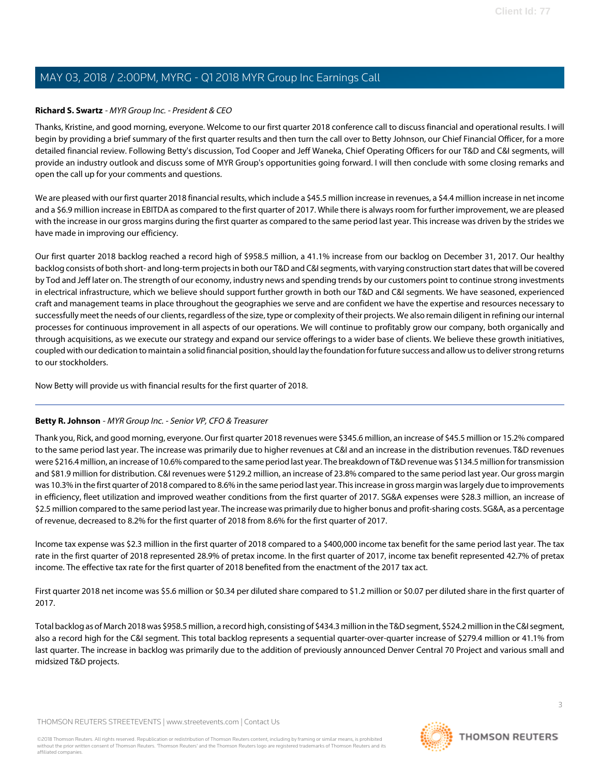#### <span id="page-2-1"></span>**Richard S. Swartz** - MYR Group Inc. - President & CEO

Thanks, Kristine, and good morning, everyone. Welcome to our first quarter 2018 conference call to discuss financial and operational results. I will begin by providing a brief summary of the first quarter results and then turn the call over to Betty Johnson, our Chief Financial Officer, for a more detailed financial review. Following Betty's discussion, Tod Cooper and Jeff Waneka, Chief Operating Officers for our T&D and C&I segments, will provide an industry outlook and discuss some of MYR Group's opportunities going forward. I will then conclude with some closing remarks and open the call up for your comments and questions.

We are pleased with our first quarter 2018 financial results, which include a \$45.5 million increase in revenues, a \$4.4 million increase in net income and a \$6.9 million increase in EBITDA as compared to the first quarter of 2017. While there is always room for further improvement, we are pleased with the increase in our gross margins during the first quarter as compared to the same period last year. This increase was driven by the strides we have made in improving our efficiency.

Our first quarter 2018 backlog reached a record high of \$958.5 million, a 41.1% increase from our backlog on December 31, 2017. Our healthy backlog consists of both short- and long-term projects in both our T&D and C&I segments, with varying construction start dates that will be covered by Tod and Jeff later on. The strength of our economy, industry news and spending trends by our customers point to continue strong investments in electrical infrastructure, which we believe should support further growth in both our T&D and C&I segments. We have seasoned, experienced craft and management teams in place throughout the geographies we serve and are confident we have the expertise and resources necessary to successfully meet the needs of our clients, regardless of the size, type or complexity of their projects. We also remain diligent in refining our internal processes for continuous improvement in all aspects of our operations. We will continue to profitably grow our company, both organically and through acquisitions, as we execute our strategy and expand our service offerings to a wider base of clients. We believe these growth initiatives, coupled with our dedication to maintain a solid financial position, should lay the foundation for future success and allow us to deliver strong returns to our stockholders.

<span id="page-2-0"></span>Now Betty will provide us with financial results for the first quarter of 2018.

#### **Betty R. Johnson** - MYR Group Inc. - Senior VP, CFO & Treasurer

Thank you, Rick, and good morning, everyone. Our first quarter 2018 revenues were \$345.6 million, an increase of \$45.5 million or 15.2% compared to the same period last year. The increase was primarily due to higher revenues at C&I and an increase in the distribution revenues. T&D revenues were \$216.4 million, an increase of 10.6% compared to the same period last year. The breakdown of T&D revenue was \$134.5 million for transmission and \$81.9 million for distribution. C&I revenues were \$129.2 million, an increase of 23.8% compared to the same period last year. Our gross margin was 10.3% in the first quarter of 2018 compared to 8.6% in the same period last year. This increase in gross margin was largely due to improvements in efficiency, fleet utilization and improved weather conditions from the first quarter of 2017. SG&A expenses were \$28.3 million, an increase of \$2.5 million compared to the same period last year. The increase was primarily due to higher bonus and profit-sharing costs. SG&A, as a percentage of revenue, decreased to 8.2% for the first quarter of 2018 from 8.6% for the first quarter of 2017.

Income tax expense was \$2.3 million in the first quarter of 2018 compared to a \$400,000 income tax benefit for the same period last year. The tax rate in the first quarter of 2018 represented 28.9% of pretax income. In the first quarter of 2017, income tax benefit represented 42.7% of pretax income. The effective tax rate for the first quarter of 2018 benefited from the enactment of the 2017 tax act.

First quarter 2018 net income was \$5.6 million or \$0.34 per diluted share compared to \$1.2 million or \$0.07 per diluted share in the first quarter of 2017.

Total backlog as of March 2018 was \$958.5 million, a record high, consisting of \$434.3 million in the T&D segment, \$524.2 million in the C&I segment, also a record high for the C&I segment. This total backlog represents a sequential quarter-over-quarter increase of \$279.4 million or 41.1% from last quarter. The increase in backlog was primarily due to the addition of previously announced Denver Central 70 Project and various small and midsized T&D projects.

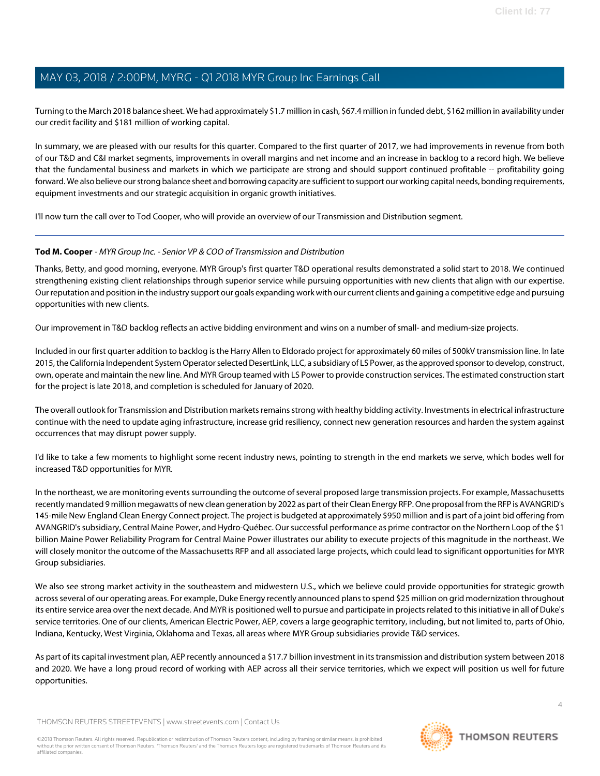Turning to the March 2018 balance sheet. We had approximately \$1.7 million in cash, \$67.4 million in funded debt, \$162 million in availability under our credit facility and \$181 million of working capital.

In summary, we are pleased with our results for this quarter. Compared to the first quarter of 2017, we had improvements in revenue from both of our T&D and C&I market segments, improvements in overall margins and net income and an increase in backlog to a record high. We believe that the fundamental business and markets in which we participate are strong and should support continued profitable -- profitability going forward. We also believe our strong balance sheet and borrowing capacity are sufficient to support our working capital needs, bonding requirements, equipment investments and our strategic acquisition in organic growth initiatives.

<span id="page-3-0"></span>I'll now turn the call over to Tod Cooper, who will provide an overview of our Transmission and Distribution segment.

#### **Tod M. Cooper** - MYR Group Inc. - Senior VP & COO of Transmission and Distribution

Thanks, Betty, and good morning, everyone. MYR Group's first quarter T&D operational results demonstrated a solid start to 2018. We continued strengthening existing client relationships through superior service while pursuing opportunities with new clients that align with our expertise. Our reputation and position in the industry support our goals expanding work with our current clients and gaining a competitive edge and pursuing opportunities with new clients.

Our improvement in T&D backlog reflects an active bidding environment and wins on a number of small- and medium-size projects.

Included in our first quarter addition to backlog is the Harry Allen to Eldorado project for approximately 60 miles of 500kV transmission line. In late 2015, the California Independent System Operator selected DesertLink, LLC, a subsidiary of LS Power, as the approved sponsor to develop, construct, own, operate and maintain the new line. And MYR Group teamed with LS Power to provide construction services. The estimated construction start for the project is late 2018, and completion is scheduled for January of 2020.

The overall outlook for Transmission and Distribution markets remains strong with healthy bidding activity. Investments in electrical infrastructure continue with the need to update aging infrastructure, increase grid resiliency, connect new generation resources and harden the system against occurrences that may disrupt power supply.

I'd like to take a few moments to highlight some recent industry news, pointing to strength in the end markets we serve, which bodes well for increased T&D opportunities for MYR.

In the northeast, we are monitoring events surrounding the outcome of several proposed large transmission projects. For example, Massachusetts recently mandated 9 million megawatts of new clean generation by 2022 as part of their Clean Energy RFP. One proposal from the RFP is AVANGRID's 145-mile New England Clean Energy Connect project. The project is budgeted at approximately \$950 million and is part of a joint bid offering from AVANGRID's subsidiary, Central Maine Power, and Hydro-Québec. Our successful performance as prime contractor on the Northern Loop of the \$1 billion Maine Power Reliability Program for Central Maine Power illustrates our ability to execute projects of this magnitude in the northeast. We will closely monitor the outcome of the Massachusetts RFP and all associated large projects, which could lead to significant opportunities for MYR Group subsidiaries.

We also see strong market activity in the southeastern and midwestern U.S., which we believe could provide opportunities for strategic growth across several of our operating areas. For example, Duke Energy recently announced plans to spend \$25 million on grid modernization throughout its entire service area over the next decade. And MYR is positioned well to pursue and participate in projects related to this initiative in all of Duke's service territories. One of our clients, American Electric Power, AEP, covers a large geographic territory, including, but not limited to, parts of Ohio, Indiana, Kentucky, West Virginia, Oklahoma and Texas, all areas where MYR Group subsidiaries provide T&D services.

As part of its capital investment plan, AEP recently announced a \$17.7 billion investment in its transmission and distribution system between 2018 and 2020. We have a long proud record of working with AEP across all their service territories, which we expect will position us well for future opportunities.

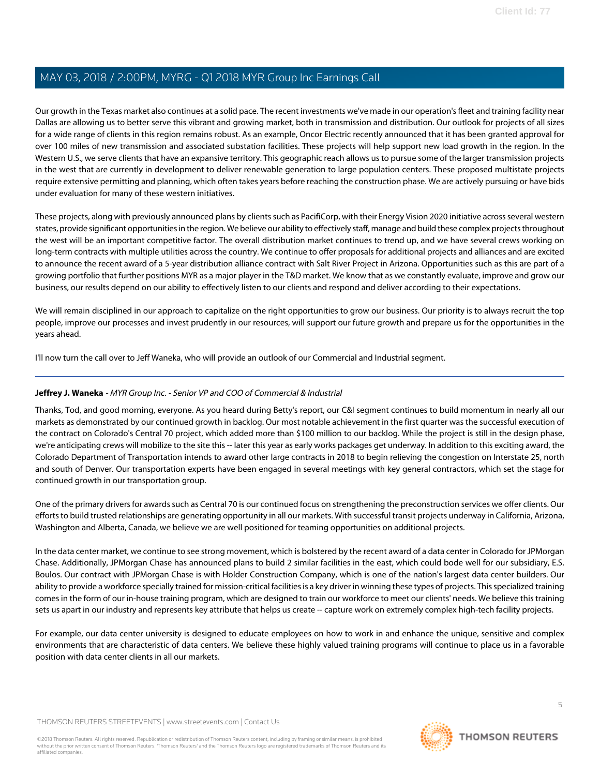Our growth in the Texas market also continues at a solid pace. The recent investments we've made in our operation's fleet and training facility near Dallas are allowing us to better serve this vibrant and growing market, both in transmission and distribution. Our outlook for projects of all sizes for a wide range of clients in this region remains robust. As an example, Oncor Electric recently announced that it has been granted approval for over 100 miles of new transmission and associated substation facilities. These projects will help support new load growth in the region. In the Western U.S., we serve clients that have an expansive territory. This geographic reach allows us to pursue some of the larger transmission projects in the west that are currently in development to deliver renewable generation to large population centers. These proposed multistate projects require extensive permitting and planning, which often takes years before reaching the construction phase. We are actively pursuing or have bids under evaluation for many of these western initiatives.

These projects, along with previously announced plans by clients such as PacifiCorp, with their Energy Vision 2020 initiative across several western states, provide significant opportunities in the region. We believe our ability to effectively staff, manage and build these complex projects throughout the west will be an important competitive factor. The overall distribution market continues to trend up, and we have several crews working on long-term contracts with multiple utilities across the country. We continue to offer proposals for additional projects and alliances and are excited to announce the recent award of a 5-year distribution alliance contract with Salt River Project in Arizona. Opportunities such as this are part of a growing portfolio that further positions MYR as a major player in the T&D market. We know that as we constantly evaluate, improve and grow our business, our results depend on our ability to effectively listen to our clients and respond and deliver according to their expectations.

We will remain disciplined in our approach to capitalize on the right opportunities to grow our business. Our priority is to always recruit the top people, improve our processes and invest prudently in our resources, will support our future growth and prepare us for the opportunities in the years ahead.

<span id="page-4-0"></span>I'll now turn the call over to Jeff Waneka, who will provide an outlook of our Commercial and Industrial segment.

### **Jeffrey J. Waneka** - MYR Group Inc. - Senior VP and COO of Commercial & Industrial

Thanks, Tod, and good morning, everyone. As you heard during Betty's report, our C&I segment continues to build momentum in nearly all our markets as demonstrated by our continued growth in backlog. Our most notable achievement in the first quarter was the successful execution of the contract on Colorado's Central 70 project, which added more than \$100 million to our backlog. While the project is still in the design phase, we're anticipating crews will mobilize to the site this -- later this year as early works packages get underway. In addition to this exciting award, the Colorado Department of Transportation intends to award other large contracts in 2018 to begin relieving the congestion on Interstate 25, north and south of Denver. Our transportation experts have been engaged in several meetings with key general contractors, which set the stage for continued growth in our transportation group.

One of the primary drivers for awards such as Central 70 is our continued focus on strengthening the preconstruction services we offer clients. Our efforts to build trusted relationships are generating opportunity in all our markets. With successful transit projects underway in California, Arizona, Washington and Alberta, Canada, we believe we are well positioned for teaming opportunities on additional projects.

In the data center market, we continue to see strong movement, which is bolstered by the recent award of a data center in Colorado for JPMorgan Chase. Additionally, JPMorgan Chase has announced plans to build 2 similar facilities in the east, which could bode well for our subsidiary, E.S. Boulos. Our contract with JPMorgan Chase is with Holder Construction Company, which is one of the nation's largest data center builders. Our ability to provide a workforce specially trained for mission-critical facilities is a key driver in winning these types of projects. This specialized training comes in the form of our in-house training program, which are designed to train our workforce to meet our clients' needs. We believe this training sets us apart in our industry and represents key attribute that helps us create -- capture work on extremely complex high-tech facility projects.

For example, our data center university is designed to educate employees on how to work in and enhance the unique, sensitive and complex environments that are characteristic of data centers. We believe these highly valued training programs will continue to place us in a favorable position with data center clients in all our markets.

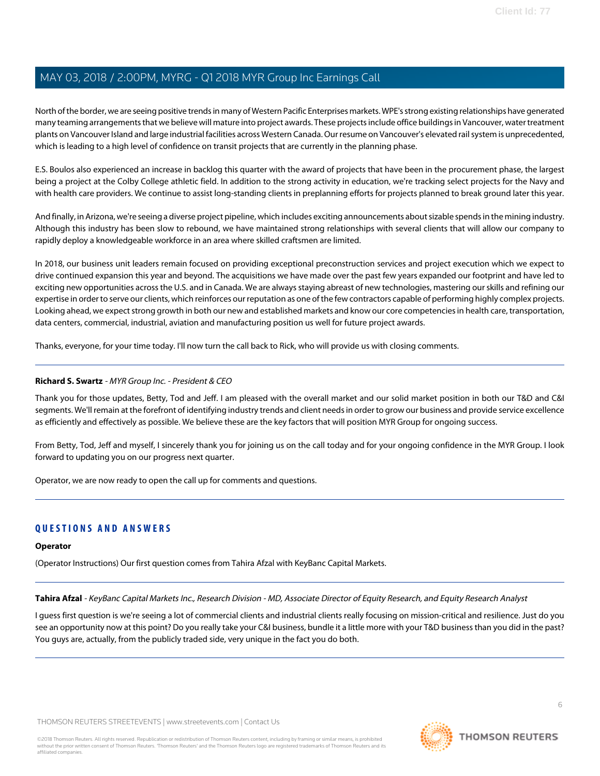North of the border, we are seeing positive trends in many of Western Pacific Enterprises markets. WPE's strong existing relationships have generated many teaming arrangements that we believe will mature into project awards. These projects include office buildings in Vancouver, water treatment plants on Vancouver Island and large industrial facilities across Western Canada. Our resume on Vancouver's elevated rail system is unprecedented, which is leading to a high level of confidence on transit projects that are currently in the planning phase.

E.S. Boulos also experienced an increase in backlog this quarter with the award of projects that have been in the procurement phase, the largest being a project at the Colby College athletic field. In addition to the strong activity in education, we're tracking select projects for the Navy and with health care providers. We continue to assist long-standing clients in preplanning efforts for projects planned to break ground later this year.

And finally, in Arizona, we're seeing a diverse project pipeline, which includes exciting announcements about sizable spends in the mining industry. Although this industry has been slow to rebound, we have maintained strong relationships with several clients that will allow our company to rapidly deploy a knowledgeable workforce in an area where skilled craftsmen are limited.

In 2018, our business unit leaders remain focused on providing exceptional preconstruction services and project execution which we expect to drive continued expansion this year and beyond. The acquisitions we have made over the past few years expanded our footprint and have led to exciting new opportunities across the U.S. and in Canada. We are always staying abreast of new technologies, mastering our skills and refining our expertise in order to serve our clients, which reinforces our reputation as one of the few contractors capable of performing highly complex projects. Looking ahead, we expect strong growth in both our new and established markets and know our core competencies in health care, transportation, data centers, commercial, industrial, aviation and manufacturing position us well for future project awards.

Thanks, everyone, for your time today. I'll now turn the call back to Rick, who will provide us with closing comments.

#### **Richard S. Swartz** - MYR Group Inc. - President & CEO

Thank you for those updates, Betty, Tod and Jeff. I am pleased with the overall market and our solid market position in both our T&D and C&I segments. We'll remain at the forefront of identifying industry trends and client needs in order to grow our business and provide service excellence as efficiently and effectively as possible. We believe these are the key factors that will position MYR Group for ongoing success.

From Betty, Tod, Jeff and myself, I sincerely thank you for joining us on the call today and for your ongoing confidence in the MYR Group. I look forward to updating you on our progress next quarter.

Operator, we are now ready to open the call up for comments and questions.

### **QUESTIONS AND ANSWERS**

#### <span id="page-5-0"></span>**Operator**

(Operator Instructions) Our first question comes from Tahira Afzal with KeyBanc Capital Markets.

Tahira Afzal - KeyBanc Capital Markets Inc., Research Division - MD, Associate Director of Equity Research, and Equity Research Analyst

I guess first question is we're seeing a lot of commercial clients and industrial clients really focusing on mission-critical and resilience. Just do you see an opportunity now at this point? Do you really take your C&I business, bundle it a little more with your T&D business than you did in the past? You guys are, actually, from the publicly traded side, very unique in the fact you do both.

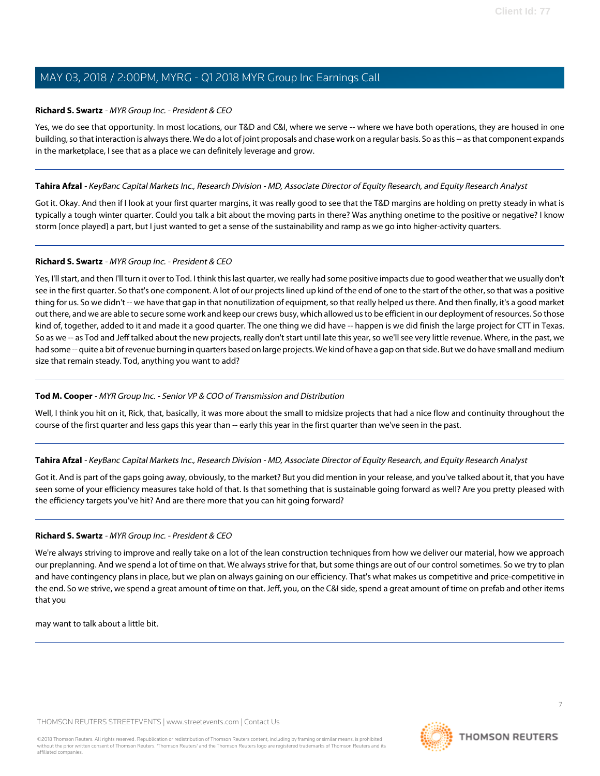#### **Richard S. Swartz** - MYR Group Inc. - President & CEO

Yes, we do see that opportunity. In most locations, our T&D and C&I, where we serve -- where we have both operations, they are housed in one building, so that interaction is always there. We do a lot of joint proposals and chase work on a regular basis. So as this -- as that component expands in the marketplace, I see that as a place we can definitely leverage and grow.

#### **Tahira Afzal** - KeyBanc Capital Markets Inc., Research Division - MD, Associate Director of Equity Research, and Equity Research Analyst

Got it. Okay. And then if I look at your first quarter margins, it was really good to see that the T&D margins are holding on pretty steady in what is typically a tough winter quarter. Could you talk a bit about the moving parts in there? Was anything onetime to the positive or negative? I know storm [once played] a part, but I just wanted to get a sense of the sustainability and ramp as we go into higher-activity quarters.

#### **Richard S. Swartz** - MYR Group Inc. - President & CEO

Yes, I'll start, and then I'll turn it over to Tod. I think this last quarter, we really had some positive impacts due to good weather that we usually don't see in the first quarter. So that's one component. A lot of our projects lined up kind of the end of one to the start of the other, so that was a positive thing for us. So we didn't -- we have that gap in that nonutilization of equipment, so that really helped us there. And then finally, it's a good market out there, and we are able to secure some work and keep our crews busy, which allowed us to be efficient in our deployment of resources. So those kind of, together, added to it and made it a good quarter. The one thing we did have -- happen is we did finish the large project for CTT in Texas. So as we -- as Tod and Jeff talked about the new projects, really don't start until late this year, so we'll see very little revenue. Where, in the past, we had some -- quite a bit of revenue burning in quarters based on large projects. We kind of have a gap on that side. But we do have small and medium size that remain steady. Tod, anything you want to add?

#### **Tod M. Cooper** - MYR Group Inc. - Senior VP & COO of Transmission and Distribution

Well, I think you hit on it, Rick, that, basically, it was more about the small to midsize projects that had a nice flow and continuity throughout the course of the first quarter and less gaps this year than -- early this year in the first quarter than we've seen in the past.

#### **Tahira Afzal** - KeyBanc Capital Markets Inc., Research Division - MD, Associate Director of Equity Research, and Equity Research Analyst

Got it. And is part of the gaps going away, obviously, to the market? But you did mention in your release, and you've talked about it, that you have seen some of your efficiency measures take hold of that. Is that something that is sustainable going forward as well? Are you pretty pleased with the efficiency targets you've hit? And are there more that you can hit going forward?

#### **Richard S. Swartz** - MYR Group Inc. - President & CEO

We're always striving to improve and really take on a lot of the lean construction techniques from how we deliver our material, how we approach our preplanning. And we spend a lot of time on that. We always strive for that, but some things are out of our control sometimes. So we try to plan and have contingency plans in place, but we plan on always gaining on our efficiency. That's what makes us competitive and price-competitive in the end. So we strive, we spend a great amount of time on that. Jeff, you, on the C&I side, spend a great amount of time on prefab and other items that you

may want to talk about a little bit.



7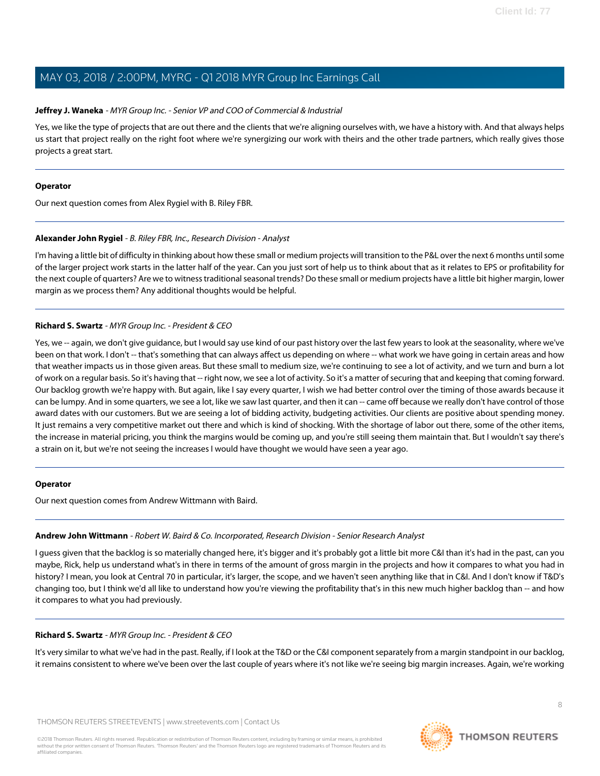#### **Jeffrey J. Waneka** - MYR Group Inc. - Senior VP and COO of Commercial & Industrial

Yes, we like the type of projects that are out there and the clients that we're aligning ourselves with, we have a history with. And that always helps us start that project really on the right foot where we're synergizing our work with theirs and the other trade partners, which really gives those projects a great start.

#### **Operator**

<span id="page-7-0"></span>Our next question comes from Alex Rygiel with B. Riley FBR.

#### **Alexander John Rygiel** - B. Riley FBR, Inc., Research Division - Analyst

I'm having a little bit of difficulty in thinking about how these small or medium projects will transition to the P&L over the next 6 months until some of the larger project work starts in the latter half of the year. Can you just sort of help us to think about that as it relates to EPS or profitability for the next couple of quarters? Are we to witness traditional seasonal trends? Do these small or medium projects have a little bit higher margin, lower margin as we process them? Any additional thoughts would be helpful.

#### **Richard S. Swartz** - MYR Group Inc. - President & CEO

Yes, we -- again, we don't give guidance, but I would say use kind of our past history over the last few years to look at the seasonality, where we've been on that work. I don't -- that's something that can always affect us depending on where -- what work we have going in certain areas and how that weather impacts us in those given areas. But these small to medium size, we're continuing to see a lot of activity, and we turn and burn a lot of work on a regular basis. So it's having that -- right now, we see a lot of activity. So it's a matter of securing that and keeping that coming forward. Our backlog growth we're happy with. But again, like I say every quarter, I wish we had better control over the timing of those awards because it can be lumpy. And in some quarters, we see a lot, like we saw last quarter, and then it can -- came off because we really don't have control of those award dates with our customers. But we are seeing a lot of bidding activity, budgeting activities. Our clients are positive about spending money. It just remains a very competitive market out there and which is kind of shocking. With the shortage of labor out there, some of the other items, the increase in material pricing, you think the margins would be coming up, and you're still seeing them maintain that. But I wouldn't say there's a strain on it, but we're not seeing the increases I would have thought we would have seen a year ago.

#### <span id="page-7-1"></span>**Operator**

Our next question comes from Andrew Wittmann with Baird.

#### **Andrew John Wittmann** - Robert W. Baird & Co. Incorporated, Research Division - Senior Research Analyst

I guess given that the backlog is so materially changed here, it's bigger and it's probably got a little bit more C&I than it's had in the past, can you maybe, Rick, help us understand what's in there in terms of the amount of gross margin in the projects and how it compares to what you had in history? I mean, you look at Central 70 in particular, it's larger, the scope, and we haven't seen anything like that in C&I. And I don't know if T&D's changing too, but I think we'd all like to understand how you're viewing the profitability that's in this new much higher backlog than -- and how it compares to what you had previously.

#### **Richard S. Swartz** - MYR Group Inc. - President & CEO

It's very similar to what we've had in the past. Really, if I look at the T&D or the C&I component separately from a margin standpoint in our backlog, it remains consistent to where we've been over the last couple of years where it's not like we're seeing big margin increases. Again, we're working

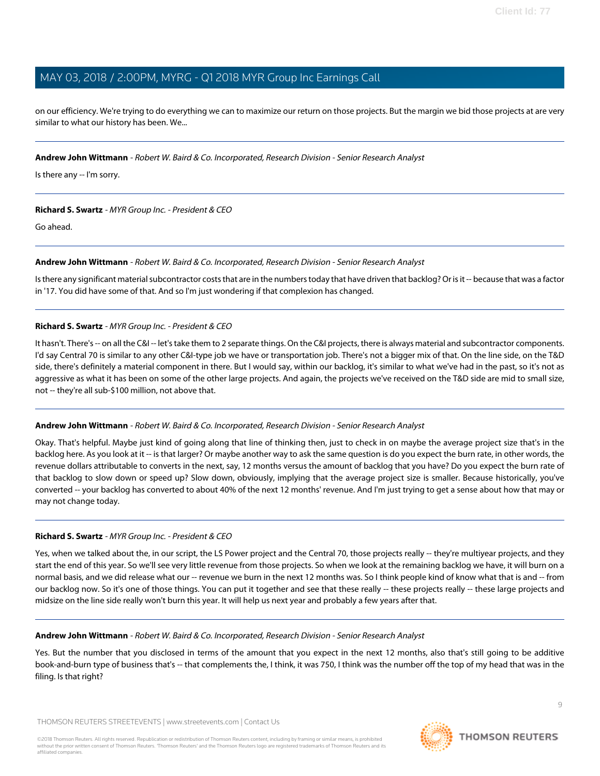on our efficiency. We're trying to do everything we can to maximize our return on those projects. But the margin we bid those projects at are very similar to what our history has been. We...

#### **Andrew John Wittmann** - Robert W. Baird & Co. Incorporated, Research Division - Senior Research Analyst

Is there any -- I'm sorry.

#### **Richard S. Swartz** - MYR Group Inc. - President & CEO

Go ahead.

#### **Andrew John Wittmann** - Robert W. Baird & Co. Incorporated, Research Division - Senior Research Analyst

Is there any significant material subcontractor costs that are in the numbers today that have driven that backlog? Or is it -- because that was a factor in '17. You did have some of that. And so I'm just wondering if that complexion has changed.

#### **Richard S. Swartz** - MYR Group Inc. - President & CEO

It hasn't. There's -- on all the C&I -- let's take them to 2 separate things. On the C&I projects, there is always material and subcontractor components. I'd say Central 70 is similar to any other C&I-type job we have or transportation job. There's not a bigger mix of that. On the line side, on the T&D side, there's definitely a material component in there. But I would say, within our backlog, it's similar to what we've had in the past, so it's not as aggressive as what it has been on some of the other large projects. And again, the projects we've received on the T&D side are mid to small size, not -- they're all sub-\$100 million, not above that.

#### **Andrew John Wittmann** - Robert W. Baird & Co. Incorporated, Research Division - Senior Research Analyst

Okay. That's helpful. Maybe just kind of going along that line of thinking then, just to check in on maybe the average project size that's in the backlog here. As you look at it -- is that larger? Or maybe another way to ask the same question is do you expect the burn rate, in other words, the revenue dollars attributable to converts in the next, say, 12 months versus the amount of backlog that you have? Do you expect the burn rate of that backlog to slow down or speed up? Slow down, obviously, implying that the average project size is smaller. Because historically, you've converted -- your backlog has converted to about 40% of the next 12 months' revenue. And I'm just trying to get a sense about how that may or may not change today.

#### **Richard S. Swartz** - MYR Group Inc. - President & CEO

Yes, when we talked about the, in our script, the LS Power project and the Central 70, those projects really -- they're multiyear projects, and they start the end of this year. So we'll see very little revenue from those projects. So when we look at the remaining backlog we have, it will burn on a normal basis, and we did release what our -- revenue we burn in the next 12 months was. So I think people kind of know what that is and -- from our backlog now. So it's one of those things. You can put it together and see that these really -- these projects really -- these large projects and midsize on the line side really won't burn this year. It will help us next year and probably a few years after that.

#### **Andrew John Wittmann** - Robert W. Baird & Co. Incorporated, Research Division - Senior Research Analyst

Yes. But the number that you disclosed in terms of the amount that you expect in the next 12 months, also that's still going to be additive book-and-burn type of business that's -- that complements the, I think, it was 750, I think was the number off the top of my head that was in the filing. Is that right?

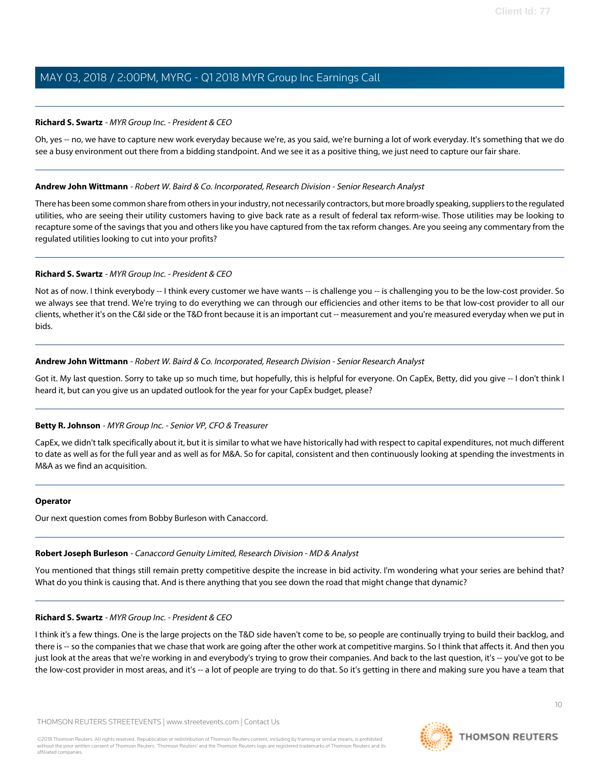#### **Richard S. Swartz** - MYR Group Inc. - President & CEO

Oh, yes -- no, we have to capture new work everyday because we're, as you said, we're burning a lot of work everyday. It's something that we do see a busy environment out there from a bidding standpoint. And we see it as a positive thing, we just need to capture our fair share.

#### **Andrew John Wittmann** - Robert W. Baird & Co. Incorporated, Research Division - Senior Research Analyst

There has been some common share from others in your industry, not necessarily contractors, but more broadly speaking, suppliers to the regulated utilities, who are seeing their utility customers having to give back rate as a result of federal tax reform-wise. Those utilities may be looking to recapture some of the savings that you and others like you have captured from the tax reform changes. Are you seeing any commentary from the regulated utilities looking to cut into your profits?

#### **Richard S. Swartz** - MYR Group Inc. - President & CEO

Not as of now. I think everybody -- I think every customer we have wants -- is challenge you -- is challenging you to be the low-cost provider. So we always see that trend. We're trying to do everything we can through our efficiencies and other items to be that low-cost provider to all our clients, whether it's on the C&I side or the T&D front because it is an important cut -- measurement and you're measured everyday when we put in bids.

#### **Andrew John Wittmann** - Robert W. Baird & Co. Incorporated, Research Division - Senior Research Analyst

Got it. My last question. Sorry to take up so much time, but hopefully, this is helpful for everyone. On CapEx, Betty, did you give -- I don't think I heard it, but can you give us an updated outlook for the year for your CapEx budget, please?

#### **Betty R. Johnson** - MYR Group Inc. - Senior VP, CFO & Treasurer

CapEx, we didn't talk specifically about it, but it is similar to what we have historically had with respect to capital expenditures, not much different to date as well as for the full year and as well as for M&A. So for capital, consistent and then continuously looking at spending the investments in M&A as we find an acquisition.

#### <span id="page-9-0"></span>**Operator**

Our next question comes from Bobby Burleson with Canaccord.

#### **Robert Joseph Burleson** - Canaccord Genuity Limited, Research Division - MD & Analyst

You mentioned that things still remain pretty competitive despite the increase in bid activity. I'm wondering what your series are behind that? What do you think is causing that. And is there anything that you see down the road that might change that dynamic?

#### **Richard S. Swartz** - MYR Group Inc. - President & CEO

I think it's a few things. One is the large projects on the T&D side haven't come to be, so people are continually trying to build their backlog, and there is -- so the companies that we chase that work are going after the other work at competitive margins. So I think that affects it. And then you just look at the areas that we're working in and everybody's trying to grow their companies. And back to the last question, it's -- you've got to be the low-cost provider in most areas, and it's -- a lot of people are trying to do that. So it's getting in there and making sure you have a team that

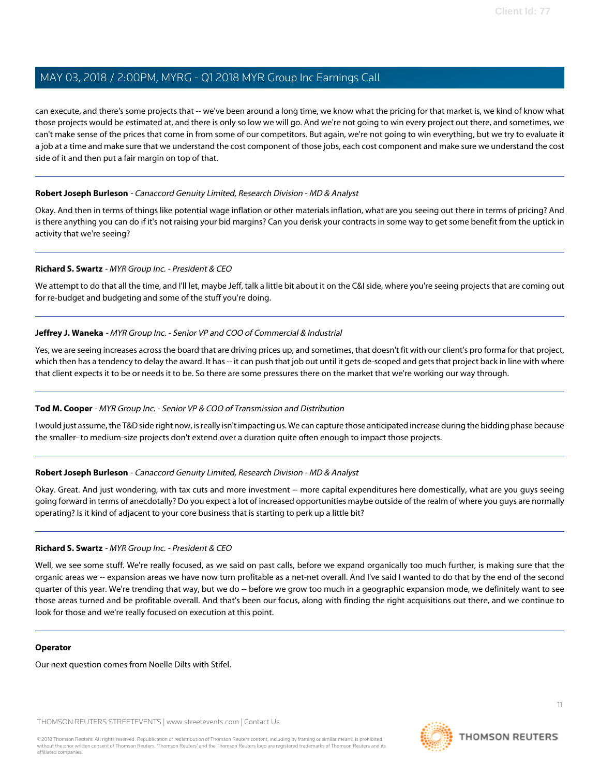can execute, and there's some projects that -- we've been around a long time, we know what the pricing for that market is, we kind of know what those projects would be estimated at, and there is only so low we will go. And we're not going to win every project out there, and sometimes, we can't make sense of the prices that come in from some of our competitors. But again, we're not going to win everything, but we try to evaluate it a job at a time and make sure that we understand the cost component of those jobs, each cost component and make sure we understand the cost side of it and then put a fair margin on top of that.

#### **Robert Joseph Burleson** - Canaccord Genuity Limited, Research Division - MD & Analyst

Okay. And then in terms of things like potential wage inflation or other materials inflation, what are you seeing out there in terms of pricing? And is there anything you can do if it's not raising your bid margins? Can you derisk your contracts in some way to get some benefit from the uptick in activity that we're seeing?

#### **Richard S. Swartz** - MYR Group Inc. - President & CEO

We attempt to do that all the time, and I'll let, maybe Jeff, talk a little bit about it on the C&I side, where you're seeing projects that are coming out for re-budget and budgeting and some of the stuff you're doing.

#### **Jeffrey J. Waneka** - MYR Group Inc. - Senior VP and COO of Commercial & Industrial

Yes, we are seeing increases across the board that are driving prices up, and sometimes, that doesn't fit with our client's pro forma for that project, which then has a tendency to delay the award. It has -- it can push that job out until it gets de-scoped and gets that project back in line with where that client expects it to be or needs it to be. So there are some pressures there on the market that we're working our way through.

#### **Tod M. Cooper** - MYR Group Inc. - Senior VP & COO of Transmission and Distribution

I would just assume, the T&D side right now, is really isn't impacting us. We can capture those anticipated increase during the bidding phase because the smaller- to medium-size projects don't extend over a duration quite often enough to impact those projects.

#### **Robert Joseph Burleson** - Canaccord Genuity Limited, Research Division - MD & Analyst

Okay. Great. And just wondering, with tax cuts and more investment -- more capital expenditures here domestically, what are you guys seeing going forward in terms of anecdotally? Do you expect a lot of increased opportunities maybe outside of the realm of where you guys are normally operating? Is it kind of adjacent to your core business that is starting to perk up a little bit?

#### **Richard S. Swartz** - MYR Group Inc. - President & CEO

Well, we see some stuff. We're really focused, as we said on past calls, before we expand organically too much further, is making sure that the organic areas we -- expansion areas we have now turn profitable as a net-net overall. And I've said I wanted to do that by the end of the second quarter of this year. We're trending that way, but we do -- before we grow too much in a geographic expansion mode, we definitely want to see those areas turned and be profitable overall. And that's been our focus, along with finding the right acquisitions out there, and we continue to look for those and we're really focused on execution at this point.

#### **Operator**

Our next question comes from Noelle Dilts with Stifel.

THOMSON REUTERS STREETEVENTS | [www.streetevents.com](http://www.streetevents.com) | [Contact Us](http://www010.streetevents.com/contact.asp)

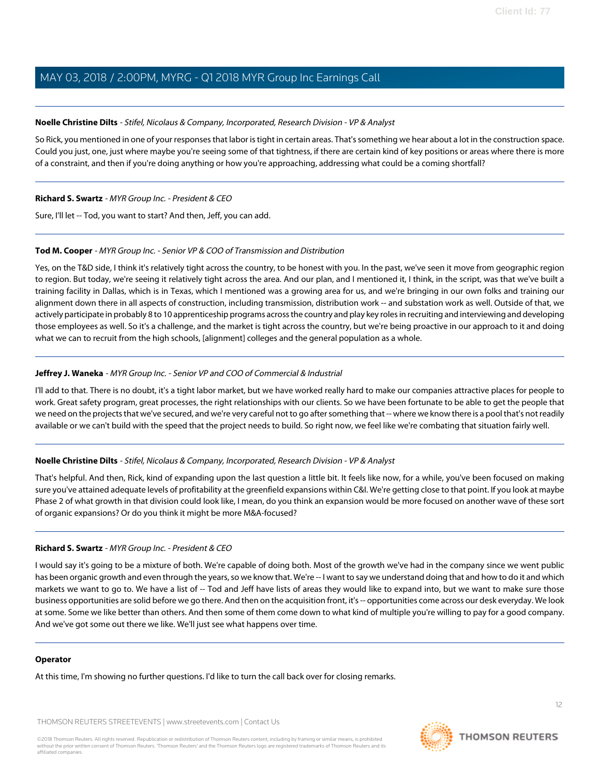#### <span id="page-11-0"></span>**Noelle Christine Dilts** - Stifel, Nicolaus & Company, Incorporated, Research Division - VP & Analyst

So Rick, you mentioned in one of your responses that labor is tight in certain areas. That's something we hear about a lot in the construction space. Could you just, one, just where maybe you're seeing some of that tightness, if there are certain kind of key positions or areas where there is more of a constraint, and then if you're doing anything or how you're approaching, addressing what could be a coming shortfall?

#### **Richard S. Swartz** - MYR Group Inc. - President & CEO

Sure, I'll let -- Tod, you want to start? And then, Jeff, you can add.

#### **Tod M. Cooper** - MYR Group Inc. - Senior VP & COO of Transmission and Distribution

Yes, on the T&D side, I think it's relatively tight across the country, to be honest with you. In the past, we've seen it move from geographic region to region. But today, we're seeing it relatively tight across the area. And our plan, and I mentioned it, I think, in the script, was that we've built a training facility in Dallas, which is in Texas, which I mentioned was a growing area for us, and we're bringing in our own folks and training our alignment down there in all aspects of construction, including transmission, distribution work -- and substation work as well. Outside of that, we actively participate in probably 8 to 10 apprenticeship programs across the country and play key roles in recruiting and interviewing and developing those employees as well. So it's a challenge, and the market is tight across the country, but we're being proactive in our approach to it and doing what we can to recruit from the high schools, [alignment] colleges and the general population as a whole.

#### **Jeffrey J. Waneka** - MYR Group Inc. - Senior VP and COO of Commercial & Industrial

I'll add to that. There is no doubt, it's a tight labor market, but we have worked really hard to make our companies attractive places for people to work. Great safety program, great processes, the right relationships with our clients. So we have been fortunate to be able to get the people that we need on the projects that we've secured, and we're very careful not to go after something that -- where we know there is a pool that's not readily available or we can't build with the speed that the project needs to build. So right now, we feel like we're combating that situation fairly well.

#### **Noelle Christine Dilts** - Stifel, Nicolaus & Company, Incorporated, Research Division - VP & Analyst

That's helpful. And then, Rick, kind of expanding upon the last question a little bit. It feels like now, for a while, you've been focused on making sure you've attained adequate levels of profitability at the greenfield expansions within C&I. We're getting close to that point. If you look at maybe Phase 2 of what growth in that division could look like, I mean, do you think an expansion would be more focused on another wave of these sort of organic expansions? Or do you think it might be more M&A-focused?

#### **Richard S. Swartz** - MYR Group Inc. - President & CEO

I would say it's going to be a mixture of both. We're capable of doing both. Most of the growth we've had in the company since we went public has been organic growth and even through the years, so we know that. We're -- I want to say we understand doing that and how to do it and which markets we want to go to. We have a list of -- Tod and Jeff have lists of areas they would like to expand into, but we want to make sure those business opportunities are solid before we go there. And then on the acquisition front, it's -- opportunities come across our desk everyday. We look at some. Some we like better than others. And then some of them come down to what kind of multiple you're willing to pay for a good company. And we've got some out there we like. We'll just see what happens over time.

#### **Operator**

At this time, I'm showing no further questions. I'd like to turn the call back over for closing remarks.

THOMSON REUTERS STREETEVENTS | [www.streetevents.com](http://www.streetevents.com) | [Contact Us](http://www010.streetevents.com/contact.asp)



**THOMSON REUTERS**